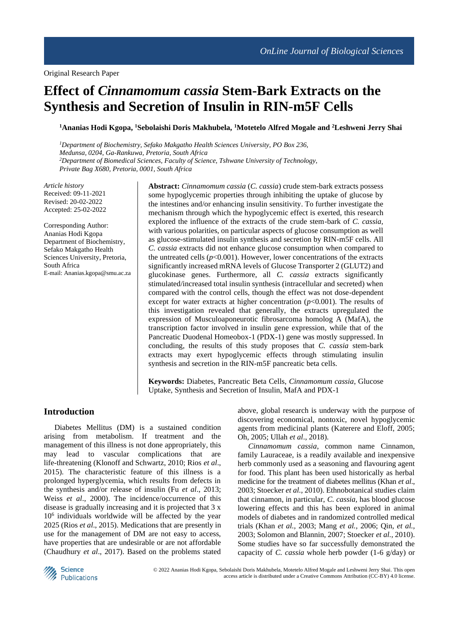# **Effect of** *Cinnamomum cassia* **Stem-Bark Extracts on the Synthesis and Secretion of Insulin in RIN-m5F Cells**

**<sup>1</sup>Ananias Hodi Kgopa, <sup>1</sup>Sebolaishi Doris Makhubela, <sup>1</sup>Motetelo Alfred Mogale and <sup>2</sup>Leshweni Jerry Shai**

*<sup>1</sup>Department of Biochemistry, Sefako Makgatho Health Sciences University, PO Box 236, Medunsa, 0204, Ga-Rankuwa, Pretoria, South Africa <sup>2</sup>Department of Biomedical Sciences, Faculty of Science, Tshwane University of Technology, Private Bag X680, Pretoria, 0001, South Africa*

*Article history* Received: 09-11-2021 Revised: 20-02-2022 Accepted: 25-02-2022

Corresponding Author: Ananias Hodi Kgopa Department of Biochemistry, Sefako Makgatho Health Sciences University, Pretoria, South Africa E-mail: [Ananias.kgopa@smu.ac.za](mailto:Ananias.kgopa@smu.ac.za) **Abstract:** *Cinnamomum cassia* (*C. cassia*) crude stem-bark extracts possess some hypoglycemic properties through inhibiting the uptake of glucose by the intestines and/or enhancing insulin sensitivity. To further investigate the mechanism through which the hypoglycemic effect is exerted, this research explored the influence of the extracts of the crude stem-bark of *C. cassia,* with various polarities, on particular aspects of glucose consumption as well as glucose-stimulated insulin synthesis and secretion by RIN-m5F cells. All *C. cassia* extracts did not enhance glucose consumption when compared to the untreated cells  $(p<0.001)$ . However, lower concentrations of the extracts significantly increased mRNA levels of Glucose Transporter 2 (GLUT2) and glucokinase genes. Furthermore, all *C. cassia* extracts significantly stimulated/increased total insulin synthesis (intracellular and secreted) when compared with the control cells, though the effect was not dose-dependent except for water extracts at higher concentration  $(p<0.001)$ . The results of this investigation revealed that generally, the extracts upregulated the expression of Musculoaponeurotic fibrosarcoma homolog A (MafA), the transcription factor involved in insulin gene expression, while that of the Pancreatic Duodenal Homeobox-1 (PDX-1) gene was mostly suppressed. In concluding, the results of this study proposes that *C. cassia* stem-bark extracts may exert hypoglycemic effects through stimulating insulin synthesis and secretion in the RIN-m5F pancreatic beta cells.

**Keywords:** Diabetes, Pancreatic Beta Cells, *Cinnamomum cassia*, Glucose Uptake, Synthesis and Secretion of Insulin, MafA and PDX-1

## **Introduction**

Diabetes Mellitus (DM) is a sustained condition arising from metabolism. If treatment and the management of this illness is not done appropriately, this may lead to vascular complications that are life-threatening (Klonoff and Schwartz, 2010; Rios *et al*., 2015). The characteristic feature of this illness is a prolonged hyperglycemia, which results from defects in the synthesis and/or release of insulin (Fu *et al*., 2013; Weiss *et al*., 2000). The incidence/occurrence of this disease is gradually increasing and it is projected that 3 x 10<sup>6</sup> individuals worldwide will be affected by the year 2025 (Rios *et al*., 2015). Medications that are presently in use for the management of DM are not easy to access, have properties that are undesirable or are not affordable (Chaudhury *et al*., 2017). Based on the problems stated

above, global research is underway with the purpose of discovering economical, nontoxic, novel hypoglycemic agents from medicinal plants (Katerere and Eloff, 2005; Oh, 2005; Ullah *et al*., 2018).

*Cinnamomum cassia*, common name Cinnamon, family Lauraceae, is a readily available and inexpensive herb commonly used as a seasoning and flavouring agent for food. This plant has been used historically as herbal medicine for the treatment of diabetes mellitus (Khan *et al*., 2003; Stoecker *et al.,* 2010). Ethnobotanical studies claim that cinnamon, in particular, *C. cassia,* has blood glucose lowering effects and this has been explored in animal models of diabetes and in randomized controlled medical trials (Khan *et al.,* 2003; Mang *et al.,* 2006; Qin, *et al.,* 2003; Solomon and Blannin, 2007; Stoecker *et al.,* 2010). Some studies have so far successfully demonstrated the capacity of *C. cassia* whole herb powder (1-6 g/day) or

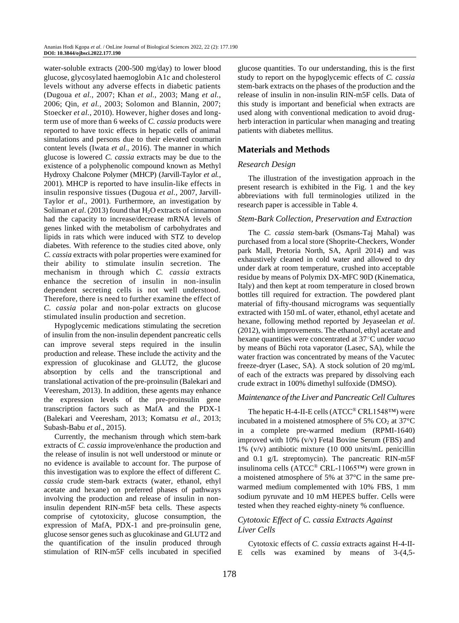water-soluble extracts (200-500 mg/day) to lower blood glucose, glycosylated haemoglobin A1c and cholesterol levels without any adverse effects in diabetic patients (Dugoua *et al.,* 2007; Khan *et al.,* 2003; Mang *et al.,* 2006; Qin, *et al.,* 2003; Solomon and Blannin, 2007; Stoecker *et al.,* 2010). However, higher doses and longterm use of more than 6 weeks of *C. cassia* products were reported to have toxic effects in hepatic cells of animal simulations and persons due to their elevated coumarin content levels (Iwata *et al*., 2016). The manner in which glucose is lowered *C. cassia* extracts may be due to the existence of a polyphenolic compound known as Methyl Hydroxy Chalcone Polymer (MHCP) (Jarvill-Taylor *et al.,* 2001). MHCP is reported to have insulin-like effects in insulin responsive tissues (Dugoua *et al.,* 2007, Jarvill-Taylor *et al*., 2001). Furthermore, an investigation by Soliman *et al.* (2013) found that H<sub>2</sub>O extracts of cinnamon had the capacity to increase/decrease mRNA levels of genes linked with the metabolism of carbohydrates and lipids in rats which were induced with STZ to develop diabetes. With reference to the studies cited above, only *C. cassia* extracts with polar properties were examined for their ability to stimulate insulin secretion. The mechanism in through which *C. cassia* extracts enhance the secretion of insulin in non-insulin dependent secreting cells is not well understood. Therefore, there is need to further examine the effect of *C. cassia* polar and non-polar extracts on glucose stimulated insulin production and secretion.

Hypoglycemic medications stimulating the secretion of insulin from the non-insulin dependent pancreatic cells can improve several steps required in the insulin production and release. These include the activity and the expression of glucokinase and GLUT2, the glucose absorption by cells and the transcriptional and translational activation of the pre-proinsulin (Balekari and Veeresham, 2013). In addition, these agents may enhance the expression levels of the pre-proinsulin gene transcription factors such as MafA and the PDX-1 (Balekari and Veeresham, 2013; Komatsu *et al*., 2013; Subash-Babu *et al*., 2015).

Currently, the mechanism through which stem-bark extracts of *C. cassia* improve/enhance the production and the release of insulin is not well understood or minute or no evidence is available to account for. The purpose of this investigation was to explore the effect of different *C. cassia* crude stem-bark extracts (water, ethanol, ethyl acetate and hexane) on preferred phases of pathways involving the production and release of insulin in noninsulin dependent RIN-m5F beta cells. These aspects comprise of cytotoxicity, glucose consumption, the expression of MafA, PDX-1 and pre-proinsulin gene, glucose sensor genes such as glucokinase and GLUT2 and the quantification of the insulin produced through stimulation of RIN-m5F cells incubated in specified

glucose quantities. To our understanding, this is the first study to report on the hypoglycemic effects of *C. cassia* stem-bark extracts on the phases of the production and the release of insulin in non-insulin RIN-m5F cells. Data of this study is important and beneficial when extracts are used along with conventional medication to avoid drugherb interaction in particular when managing and treating patients with diabetes mellitus.

# **Materials and Methods**

#### *Research Design*

The illustration of the investigation approach in the present research is exhibited in the Fig. 1 and the key abbreviations with full terminologies utilized in the research paper is accessible in Table 4.

#### *Stem-Bark Collection, Preservation and Extraction*

The *C. cassia* stem-bark (Osmans-Taj Mahal) was purchased from a local store (Shoprite-Checkers, Wonder park Mall, Pretoria North, SA, April 2014) and was exhaustively cleaned in cold water and allowed to dry under dark at room temperature, crushed into acceptable residue by means of Polymix DX-MFC 90D (Kinematica, Italy) and then kept at room temperature in closed brown bottles till required for extraction. The powdered plant material of fifty-thousand micrograms was sequentially extracted with 150 mL of water, ethanol, ethyl acetate and hexane, following method reported by Jeyaseelan *et al*. (2012), with improvements. The ethanol, ethyl acetate and hexane quantities were concentrated at 37○C under *vacuo* by means of Büchi rota vaporator (Lasec, SA), while the water fraction was concentrated by means of the Vacutec freeze-dryer (Lasec, SA). A stock solution of 20 mg/mL of each of the extracts was prepared by dissolving each crude extract in 100% dimethyl sulfoxide (DMSO).

#### *Maintenance of the Liver and Pancreatic Cell Cultures*

The hepatic H-4-II-E cells (ATCC® CRL1548™) were incubated in a moistened atmosphere of 5%  $CO<sub>2</sub>$  at 37 $\degree$ C in a complete pre-warmed medium (RPMI-1640) improved with 10% (v/v) Fetal Bovine Serum (FBS) and 1% (v/v) antibiotic mixture (10 000 units/mL penicillin and 0.1 g/L streptomycin). The pancreatic RIN-m5F insulinoma cells (ATCC® CRL-11065™) were grown in a moistened atmosphere of 5% at 37°C in the same prewarmed medium complemented with 10% FBS, 1 mm sodium pyruvate and 10 mM HEPES buffer. Cells were tested when they reached eighty-ninety % confluence.

## *Cytotoxic Effect of C. cassia Extracts Against Liver Cells*

Cytotoxic effects of *C. cassia* extracts against H-4-II-E cells was examined by means of 3-(4,5-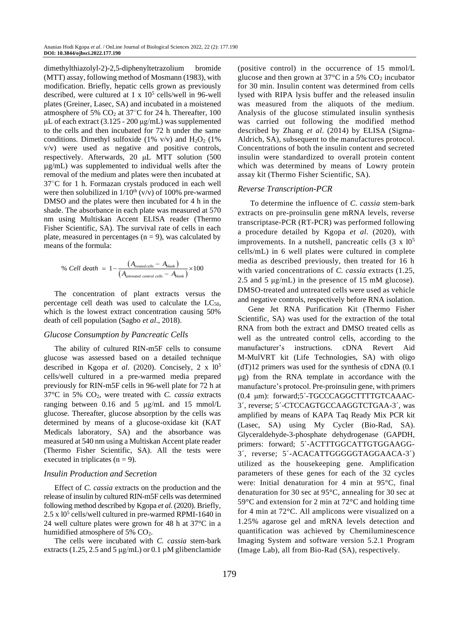dimethylthiazolyl-2)-2,5-diphenyltetrazolium bromide (MTT) assay, following method of Mosmann (1983), with modification. Briefly, hepatic cells grown as previously described, were cultured at  $1 \times 10^5$  cells/well in 96-well plates (Greiner, Lasec, SA) and incubated in a moistened atmosphere of 5%  $CO<sub>2</sub>$  at 37°C for 24 h. Thereafter, 100 μL of each extract (3.125 - 200 μg/mL) was supplemented to the cells and then incubated for 72 h under the same conditions. Dimethyl sulfoxide (1% v/v) and  $H_2O_2$  (1% v/v) were used as negative and positive controls, respectively. Afterwards, 20 μL MTT solution (500 µg/mL) was supplemented to individual wells after the removal of the medium and plates were then incubated at 37○C for 1 h. Formazan crystals produced in each well were then solubilized in  $1/10^{th}$  (v/v) of 100% pre-warmed DMSO and the plates were then incubated for 4 h in the shade. The absorbance in each plate was measured at 570 nm using Multiskan Accent ELISA reader (Thermo Fisher Scientific, SA). The survival rate of cells in each plate, measured in percentages  $(n = 9)$ , was calculated by means of the formula:

% Cell death = 
$$
1 - \frac{(A_{\text{reated cells}} - A_{\text{blank}})}{(A_{\text{untreated control cells}} - A_{\text{blank}})} \times 100
$$

The concentration of plant extracts versus the percentage cell death was used to calculate the  $LC_{50}$ , which is the lowest extract concentration causing 50% death of cell population (Sagbo *et al*., 2018).

#### *Glucose Consumption by Pancreatic Cells*

The ability of cultured RIN-m5F cells to consume glucose was assessed based on a detailed technique described in Kgopa *et al*. (2020). Concisely, 2 x l0<sup>5</sup> cells/well cultured in a pre-warmed media prepared previously for RIN-m5F cells in 96-well plate for 72 h at 37°C in 5% CO2, were treated with *C. cassia* extracts ranging between 0.16 and 5 μg/mL and 15 mmol/L glucose. Thereafter, glucose absorption by the cells was determined by means of a glucose-oxidase kit (KAT Medicals laboratory, SA) and the absorbance was measured at 540 nm using a Multiskan Accent plate reader (Thermo Fisher Scientific, SA). All the tests were executed in triplicates ( $n = 9$ ).

#### *Insulin Production and Secretion*

Effect of *C. cassia* extracts on the production and the release of insulin by cultured RIN-m5F cells was determined following method described by Kgopa *et al*. (2020). Briefly, 2.5 x 10<sup>5</sup> cells/well cultured in pre-warmed RPMI-1640 in 24 well culture plates were grown for 48 h at 37°C in a humidified atmosphere of 5% CO<sub>2</sub>.

The cells were incubated with *C. cassia* stem-bark extracts (1.25, 2.5 and 5  $\mu$ g/mL) or 0.1  $\mu$ M glibenclamide (positive control) in the occurrence of 15 mmol/L glucose and then grown at  $37^{\circ}$ C in a 5% CO<sub>2</sub> incubator for 30 min. Insulin content was determined from cells lysed with RIPA lysis buffer and the released insulin was measured from the aliquots of the medium. Analysis of the glucose stimulated insulin synthesis was carried out following the modified method described by Zhang *et al*. (2014) by ELISA (Sigma-Aldrich, SA), subsequent to the manufactures protocol. Concentrations of both the insulin content and secreted insulin were standardized to overall protein content which was determined by means of Lowry protein assay kit (Thermo Fisher Scientific, SA).

#### *Reverse Transcription-PCR*

To determine the influence of *C. cassia* stem-bark extracts on pre-proinsulin gene mRNA levels, reverse transcriptase-PCR (RT-PCR) was performed following a procedure detailed by Kgopa *et al*. (2020), with improvements. In a nutshell, pancreatic cells  $(3 \times 10^5)$ cells/mL) in 6 well plates were cultured in complete media as described previously, then treated for 16 h with varied concentrations of *C. cassia* extracts (1.25, 2.5 and 5 μg/mL) in the presence of 15 mM glucose). DMSO-treated and untreated cells were used as vehicle and negative controls, respectively before RNA isolation.

Gene Jet RNA Purification Kit (Thermo Fisher Scientific, SA) was used for the extraction of the total RNA from both the extract and DMSO treated cells as well as the untreated control cells, according to the manufacturer's instructions. cDNA Revert Aid M-MulVRT kit (Life Technologies, SA) with oligo (dT)12 primers was used for the synthesis of cDNA (0.1 µg) from the RNA template in accordance with the manufacture's protocol. Pre-proinsulin gene, with primers (0.4 μm): forward;5´-TGCCCAGGCTTTTGTCAAAC-3´, reverse; 5´-CTCCAGTGCCAAGGTCTGAA-3´, was amplified by means of KAPA Taq Ready Mix PCR kit (Lasec, SA) using My Cycler (Bio-Rad, SA). Glyceraldehyde-3-phosphate dehydrogenase (GAPDH, primers: forward; 5´-ACTTTGGCATTGTGGAAGG-3´, reverse; 5´-ACACATTGGGGGTAGGAACA-3´) utilized as the housekeeping gene. Amplification parameters of these genes for each of the 32 cycles were: Initial denaturation for 4 min at 95°C, final denaturation for 30 sec at 95°C, annealing for 30 sec at 59°C and extension for 2 min at 72°C and holding time for 4 min at 72°C. All amplicons were visualized on a 1.25% agarose gel and mRNA levels detection and quantification was achieved by Chemiluminescence Imaging System and software version 5.2.1 Program (Image Lab), all from Bio-Rad (SA), respectively.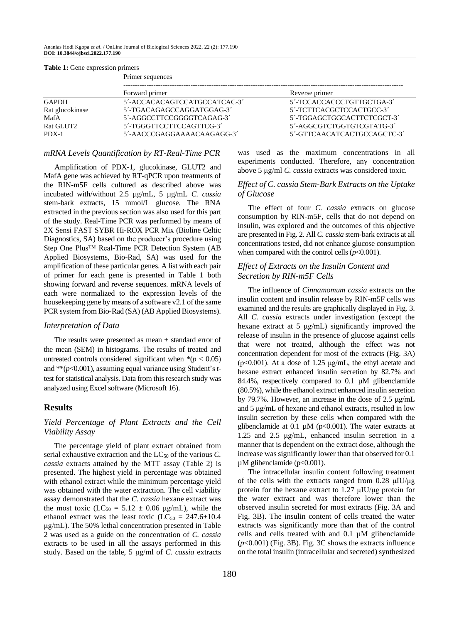Ananias Hodi Kgopa *et al*. / OnLine Journal of Biological Sciences 2022, 22 (2): 177.190 **DOI: 10.3844/ojbsci.2022.177.190**

| <b>Table 1:</b> Gene expression primers |                              |                             |  |  |  |  |
|-----------------------------------------|------------------------------|-----------------------------|--|--|--|--|
|                                         | Primer sequences             |                             |  |  |  |  |
|                                         | Forward primer               | Reverse primer              |  |  |  |  |
| <b>GAPDH</b>                            | 5'-ACCACACAGTCCATGCCATCAC-3' | 5'-TCCACCACCCTGTTGCTGA-3'   |  |  |  |  |
| Rat glucokinase                         | 5'-TGACAGAGCCAGGATGGAG-3'    | 5'-TCTTCACGCTCCACTGCC-3'    |  |  |  |  |
| MafA                                    | 5'-AGGCCTTCCGGGGTCAGAG-3'    | 5'-TGGAGCTGGCACTTCTCGCT-3'  |  |  |  |  |
| Rat GLUT2                               | 5'-TGGGTTCCTTCCAGTTCG-3'     | 5'-AGGCGTCTGGTGTCGTATG-3'   |  |  |  |  |
| $PDX-1$                                 | 5'-AACCCGAGGAAAACAAGAGG-3'   | 5'-GTTCAACATCACTGCCAGCTC-3' |  |  |  |  |

#### **Table 1:** Gene expression primers

#### *mRNA Levels Quantification by RT-Real-Time PCR*

Amplification of PDX-1, glucokinase, GLUT2 and MafA gene was achieved by RT-qPCR upon treatments of the RIN-m5F cells cultured as described above was incubated with/without 2.5 µg/mL, 5 µg/mL *C. cassia* stem-bark extracts, 15 mmol/L glucose. The RNA extracted in the previous section was also used for this part of the study. Real-Time PCR was performed by means of 2X Sensi FAST SYBR Hi-ROX PCR Mix (Bioline Celtic Diagnostics, SA) based on the producer's procedure using Step One Plus™ Real-Time PCR Detection System (AB Applied Biosystems, Bio-Rad, SA) was used for the amplification of these particular genes. A list with each pair of primer for each gene is presented in Table 1 both showing forward and reverse sequences. mRNA levels of each were normalized to the expression levels of the housekeeping gene by means of a software v2.1 of the same PCR system from Bio-Rad (SA) (AB Applied Biosystems).

#### *Interpretation of Data*

The results were presented as mean  $\pm$  standard error of the mean (SEM) in histograms. The results of treated and untreated controls considered significant when  $*(p < 0.05)$ and \*\*(*p*<0.001), assuming equal variance using Student's *t*test for statistical analysis. Data from this research study was analyzed using Excel software (Microsoft 16).

## **Results**

#### *Yield Percentage of Plant Extracts and the Cell Viability Assay*

The percentage yield of plant extract obtained from serial exhaustive extraction and the LC<sub>50</sub> of the various *C*. *cassia* extracts attained by the MTT assay (Table 2) is presented. The highest yield in percentage was obtained with ethanol extract while the minimum percentage yield was obtained with the water extraction. The cell viability assay demonstrated that the *C. cassia* hexane extract was the most toxic  $(LC_{50} = 5.12 \pm 0.06 \text{ µg/mL})$ , while the ethanol extract was the least toxic (LC<sub>50</sub> = 247.6 $\pm$ 10.4 μg/mL). The 50% lethal concentration presented in Table 2 was used as a guide on the concentration of *C. cassia* extracts to be used in all the assays performed in this study. Based on the table, 5 μg/ml of *C. cassia* extracts was used as the maximum concentrations in all experiments conducted. Therefore, any concentration above 5 μg/ml *C. cassia* extracts was considered toxic.

#### *Effect of C. cassia Stem-Bark Extracts on the Uptake of Glucose*

The effect of four *C. cassia* extracts on glucose consumption by RIN-m5F, cells that do not depend on insulin, was explored and the outcomes of this objective are presented in Fig. 2. All *C. cassia* stem-bark extracts at all concentrations tested, did not enhance glucose consumption when compared with the control cells  $(p<0.001)$ .

### *Effect of Extracts on the Insulin Content and Secretion by RIN-m5F Cells*

The influence of *Cinnamomum cassia* extracts on the insulin content and insulin release by RIN-m5F cells was examined and the results are graphically displayed in Fig. 3. All *C. cassia* extracts under investigation (except the hexane extract at 5 μg/mL) significantly improved the release of insulin in the presence of glucose against cells that were not treated, although the effect was not concentration dependent for most of the extracts (Fig. 3A) ( $p<0.001$ ). At a dose of 1.25 μg/mL, the ethyl acetate and hexane extract enhanced insulin secretion by 82.7% and 84.4%, respectively compared to 0.1 µM glibenclamide (80.5%), while the ethanol extract enhanced insulin secretion by 79.7%. However, an increase in the dose of 2.5 μg/mL and 5 μg/mL of hexane and ethanol extracts, resulted in low insulin secretion by these cells when compared with the glibenclamide at 0.1  $\mu$ M (p<0.001). The water extracts at 1.25 and 2.5 μg/mL, enhanced insulin secretion in a manner that is dependent on the extract dose, although the increase was significantly lower than that observed for 0.1  $\mu$ M glibenclamide (p<0.001).

The intracellular insulin content following treatment of the cells with the extracts ranged from 0.28 μIU/μg protein for the hexane extract to 1.27 μIU/μg protein for the water extract and was therefore lower than the observed insulin secreted for most extracts (Fig. 3A and Fig. 3B). The insulin content of cells treated the water extracts was significantly more than that of the control cells and cells treated with and  $0.1 \mu M$  glibenclamide (*p*<0.001) (Fig. 3B). Fig. 3C shows the extracts influence on the total insulin (intracellular and secreted) synthesized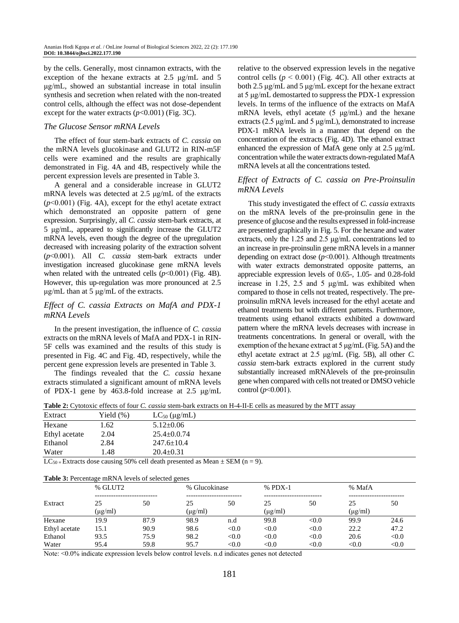by the cells. Generally, most cinnamon extracts, with the exception of the hexane extracts at 2.5 μg/mL and 5 μg/mL, showed an substantial increase in total insulin synthesis and secretion when related with the non-treated control cells, although the effect was not dose-dependent except for the water extracts  $(p<0.001)$  (Fig. 3C).

#### *The Glucose Sensor mRNA Levels*

The effect of four stem-bark extracts of *C. cassia* on the mRNA levels glucokinase and GLUT2 in RIN-m5F cells were examined and the results are graphically demonstrated in Fig. 4A and 4B, respectively while the percent expression levels are presented in Table 3.

A general and a considerable increase in GLUT2 mRNA levels was detected at 2.5 μg/mL of the extracts (*p*˂0.001) (Fig. 4A), except for the ethyl acetate extract which demonstrated an opposite pattern of gene expression. Surprisingly, all *C. cassia* stem-bark extracts, at 5 μg/mL, appeared to significantly increase the GLUT2 mRNA levels, even though the degree of the upregulation decreased with increasing polarity of the extraction solvent (*p*˂0.001). All *C. cassia* stem-bark extracts under investigation increased glucokinase gene mRNA levels when related with the untreated cells (*p*˂0.001) (Fig. 4B). However, this up-regulation was more pronounced at 2.5 μg/mL than at 5 μg/mL of the extracts.

### *Effect of C. cassia Extracts on MafA and PDX-1 mRNA Levels*

In the present investigation, the influence of *C. cassia*  extracts on the mRNA levels of MafA and PDX-1 in RIN-5F cells was examined and the results of this study is presented in Fig. 4C and Fig. 4D, respectively, while the percent gene expression levels are presented in Table 3.

The findings revealed that the *C. cassia* hexane extracts stimulated a significant amount of mRNA levels of PDX-1 gene by 463.8-fold increase at 2.5 μg/mL relative to the observed expression levels in the negative control cells  $(p < 0.001)$  (Fig. 4C). All other extracts at both 2.5 μg/mL and 5 μg/mL except for the hexane extract at 5 μg/mL demostarted to suppress the PDX-1 expression levels. In terms of the influence of the extracts on MafA mRNA levels, ethyl acetate (5 μg/mL) and the hexane extracts (2.5 μg/mL and 5 μg/mL), demonstrated to increase PDX-1 mRNA levels in a manner that depend on the concentration of the extracts (Fig. 4D). The ethanol extract enhanced the expression of MafA gene only at 2.5 μg/mL concentration while the water extracts down-regulated MafA mRNA levels at all the concentrations tested.

#### *Effect of Extracts of C. cassia on Pre-Proinsulin mRNA Levels*

This study investigated the effect of *C. cassia* extraxts on the mRNA levels of the pre-proinsulin gene in the presence of glucose and the results expressed in fold-increase are presented graphically in Fig. 5. For the hexane and water extracts, only the 1.25 and 2.5 μg/mL concentrations led to an increase in pre-proinsulin gene mRNA levels in a manner depending on extract dose  $(p<0.001)$ . Although ttreatments with water extracts demonstrated opposite patterns, an appreciable expression levels of 0.65-, 1.05- and 0.28-fold increase in 1.25, 2.5 and 5 μg/mL was exhibited when compared to those in cells not treated, respectively. The preproinsulin mRNA levels increased for the ethyl acetate and ethanol treatments but with different pattents. Furthermore, treatments using ethanol extracts exhibited a downward pattern where the mRNA levels decreases with increase in treatments concentrations. In general or overall, with the exemption of the hexane extract at  $5 \mu g/mL$  (Fig. 5A) and the ethyl acetate extract at 2.5 μg/mL (Fig. 5B), all other *C. cassia* stem-bark extracts explored in the current study substantially increased mRNAlevels of the pre-proinsulin gene when compared with cells not treated or DMSO vehicle control (*p*˂0.001).

**Table 2:** Cytotoxic effects of four *C. cassia* stem-bark extracts on H-4-II-E cells as measured by the MTT assay

| Extract                                                         | Yield (%) | $LC_{50}$ (µg/mL) |          |  |
|-----------------------------------------------------------------|-----------|-------------------|----------|--|
| Hexane                                                          | 1.62      | $5.12 \pm 0.06$   |          |  |
| Ethyl acetate                                                   | 2.04      | $25.4 \pm 0.0.74$ |          |  |
| Ethanol                                                         | 2.84      | $247.6 \pm 10.4$  |          |  |
| Water                                                           | 1.48      | $20.4 \pm 0.31$   |          |  |
| $\mathbf{r} \cdot \mathbf{r} \cdot \mathbf{r} \cdot \mathbf{r}$ |           | $\cdots$          | $\alpha$ |  |

LC<sub>50</sub> = Extracts dose causing 50% cell death presented as Mean  $\pm$  SEM (n = 9).

| Table 3: Percentage mRNA levels of selected genes |  |
|---------------------------------------------------|--|
|---------------------------------------------------|--|

| <b>Table 5.</b> I credinage initial levels of science genes |              |                              |              |                            |              |           |                          |        |  |
|-------------------------------------------------------------|--------------|------------------------------|--------------|----------------------------|--------------|-----------|--------------------------|--------|--|
|                                                             | % GLUT2      |                              |              | % Glucokinase              |              | $%$ PDX-1 |                          | % MafA |  |
| Extract                                                     | 25           | ----------------------<br>50 | 25           | --------------------<br>50 | 25           | <br>50    | ------------------<br>25 | 50     |  |
|                                                             | $(\mu g/ml)$ |                              | $(\mu g/ml)$ |                            | $(\mu g/ml)$ |           | $(\mu g/ml)$             |        |  |
| Hexane                                                      | 19.9         | 87.9                         | 98.9         | n.d                        | 99.8         | < 0.0     | 99.9                     | 24.6   |  |
| Ethyl acetate                                               | 15.1         | 90.9                         | 98.6         | < 0.0                      | < 0.0        | < 0.0     | 22.2                     | 47.2   |  |
| Ethanol                                                     | 93.5         | 75.9                         | 98.2         | < 0.0                      | < 0.0        | < 0.0     | 20.6                     | < 0.0  |  |
| Water                                                       | 95.4         | 59.8                         | 95.7         | < 0.0                      | < 0.0        | < 0.0     | < 0.0                    | < 0.0  |  |

Note: ˂0.0% indicate expression levels below control levels. n.d indicates genes not detected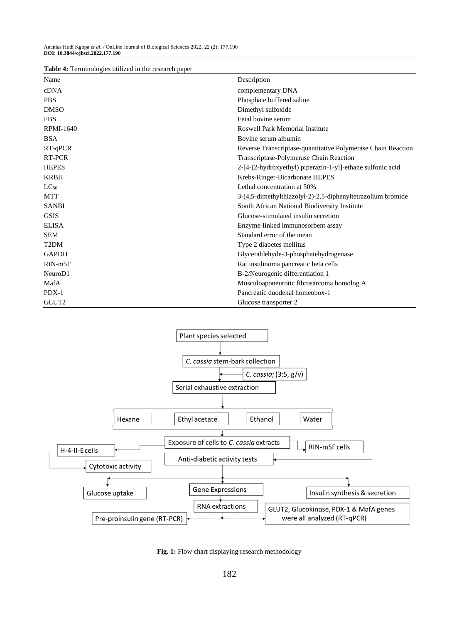| Table 4: Terminologies utilized in the research paper |
|-------------------------------------------------------|
|-------------------------------------------------------|

| <b>Tuble 1.</b> Fernandogles atmased in the research paper<br>Name | Description                                                  |
|--------------------------------------------------------------------|--------------------------------------------------------------|
| cDNA                                                               | complementary DNA                                            |
| <b>PBS</b>                                                         | Phosphate buffered saline                                    |
| <b>DMSO</b>                                                        | Dimethyl sulfoxide                                           |
| <b>FBS</b>                                                         | Fetal bovine serum                                           |
| <b>RPMI-1640</b>                                                   | Roswell Park Memorial Institute                              |
| <b>BSA</b>                                                         | Bovine serum albumin                                         |
| RT-qPCR                                                            | Reverse Transcriptase-quantitative Polymerase Chain Reaction |
| <b>RT-PCR</b>                                                      | Transcriptase-Polymerase Chain Reaction                      |
| <b>HEPES</b>                                                       | 2-[4-(2-hydroxyethyl) piperazin-1-yl]-ethane sulfonic acid   |
| <b>KRBH</b>                                                        | Krebs-Ringer-Bicarbonate HEPES                               |
| $LC_{50}$                                                          | Lethal concentration at 50%                                  |
| <b>MTT</b>                                                         | 3-(4,5-dimethylthiazolyl-2)-2,5-diphenyltetrazolium bromide  |
| <b>SANBI</b>                                                       | South African National Biodiversity Institute                |
| <b>GSIS</b>                                                        | Glucose-stimulated insulin secretion                         |
| <b>ELISA</b>                                                       | Enzyme-linked immunosorbent assay                            |
| <b>SEM</b>                                                         | Standard error of the mean                                   |
| T <sub>2</sub> DM                                                  | Type 2 diabetes mellitus                                     |
| <b>GAPDH</b>                                                       | Glyceraldehyde-3-phosphatehydrogenase                        |
| $RIN-m5F$                                                          | Rat insulinoma pancreatic beta cells                         |
| NeuroD1                                                            | B-2/Neurogenic differentiation 1                             |
| MafA                                                               | Musculoaponeurotic fibrosarcoma homolog A                    |
| $PDX-1$                                                            | Pancreatic duodenal homeobox-1                               |
| GLUT2                                                              | Glucose transporter 2                                        |



Fig. 1: Flow chart displaying research methodology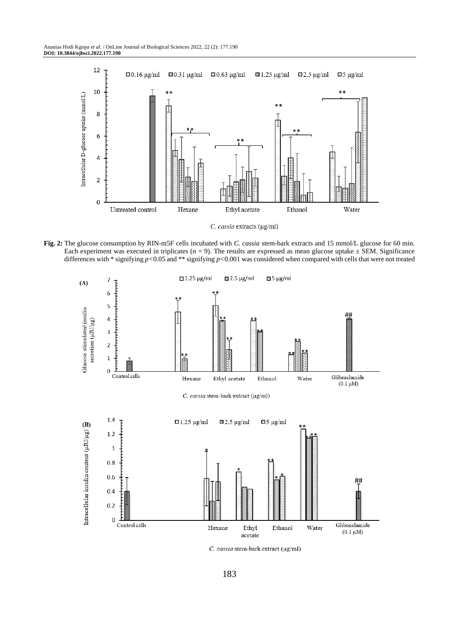

C. cassia extracts ( $\mu$ g/ml)

**Fig. 2:** The glucose consumption by RIN-m5F cells incubated with *C. cassia* stem-bark extracts and 15 mmol/L glucose for 60 min. Each experiment was executed in triplicates ( $n = 9$ ). The results are expressed as mean glucose uptake  $\pm$  SEM. Significance differences with  $*$  signifying  $p < 0.05$  and  $**$  signifying  $p < 0.001$  was considered when compared with cells that were not treated



C. cassia stem-bark extract (µg/ml)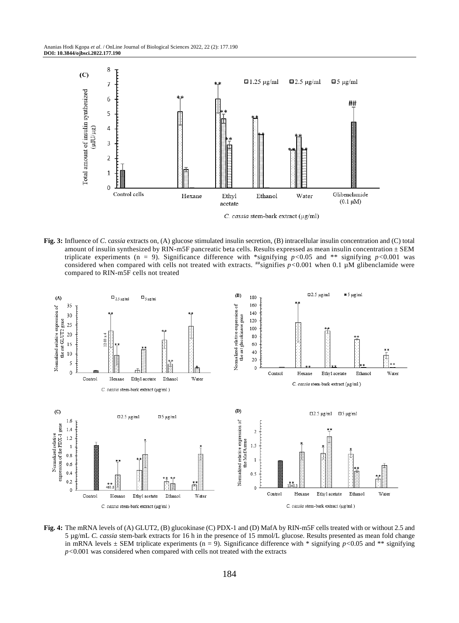

**Fig. 3:** Influence of *C*. c*assia* extracts on, (A) glucose stimulated insulin secretion, (B) intracellular insulin concentration and (C) total amount of insulin synthesized by RIN-m5F pancreatic beta cells. Results expressed as mean insulin concentration  $\pm$  SEM triplicate experiments (n = 9). Significance difference with \*signifying  $p<0.05$  and \*\* signifying  $p<0.001$  was considered when compared with cells not treated with extracts.  $^{***}$ signifies  $p < 0.001$  when 0.1 µM glibenclamide were compared to RIN-m5F cells not treated



**Fig. 4:** The mRNA levels of (A) GLUT2, (B) glucokinase (C) PDX-1 and (D) MafA by RIN-m5F cells treated with or without 2.5 and 5 µg/mL *C. cassia* stem-bark extracts for 16 h in the presence of 15 mmol/L glucose. Results presented as mean fold change in mRNA levels  $\pm$  SEM triplicate experiments (n = 9). Significance difference with \* signifying  $p$ <0.05 and \*\* signifying *p<*0.001 was considered when compared with cells not treated with the extracts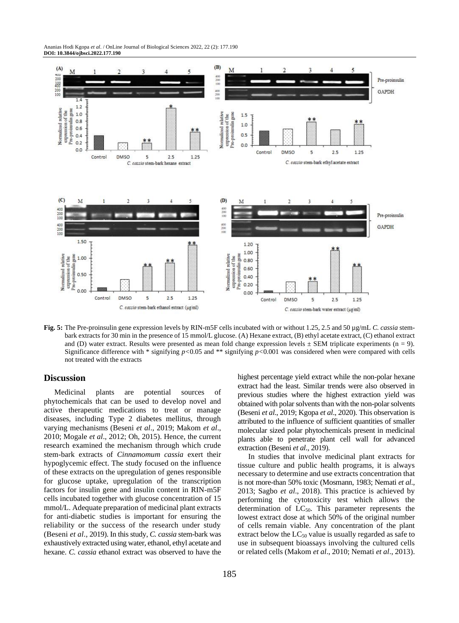Ananias Hodi Kgopa *et al*. / OnLine Journal of Biological Sciences 2022, 22 (2): 177.190 **DOI: 10.3844/ojbsci.2022.177.190**



**Fig. 5:** The Pre-proinsulin gene expression levels by RIN-m5F cells incubated with or without 1.25, 2.5 and 50 µg/mL *C. cassia* stembark extracts for 30 min in the presence of 15 mmol/L glucose. (A) Hexane extract, (B) ethyl acetate extract, (C) ethanol extract and (D) water extract. Results were presented as mean fold change expression levels  $\pm$  SEM triplicate experiments (n = 9). Significance difference with \* signifying *p<*0.05 and \*\* signifying *p<*0.001 was considered when were compared with cells not treated with the extracts

#### **Discussion**

Medicinal plants are potential sources of phytochemicals that can be used to develop novel and active therapeutic medications to treat or manage diseases, including Type 2 diabetes mellitus, through varying mechanisms (Beseni *et al*., 2019; Makom *et al*., 2010; Mogale *et al*., 2012; Oh, 2015). Hence, the current research examined the mechanism through which crude stem-bark extracts of *Cinnamomum cassia* exert their hypoglycemic effect. The study focused on the influence of these extracts on the upregulation of genes responsible for glucose uptake, upregulation of the transcription factors for insulin gene and insulin content in RIN-m5F cells incubated together with glucose concentration of 15 mmol/L. Adequate preparation of medicinal plant extracts for anti-diabetic studies is important for ensuring the reliability or the success of the research under study (Beseni *et al*., 2019). In this study, *C. cassia* stem-bark was exhaustively extracted using water, ethanol, ethyl acetate and hexane. *C. cassia* ethanol extract was observed to have the highest percentage yield extract while the non-polar hexane extract had the least. Similar trends were also observed in previous studies where the highest extraction yield was obtained with polar solvents than with the non-polar solvents (Beseni *et al*., 2019; Kgopa *et al*., 2020). This observation is attributed to the influence of sufficient quantities of smaller molecular sized polar phytochemicals present in medicinal plants able to penetrate plant cell wall for advanced extraction (Beseni *et al*., 2019).

In studies that involve medicinal plant extracts for tissue culture and public health programs, it is always necessary to determine and use extracts concentration that is not more-than 50% toxic (Mosmann, 1983; Nemati *et al*., 2013; Sagbo *et al*., 2018). This practice is achieved by performing the cytotoxicity test which allows the determination of  $LC_{50}$ . This parameter represents the lowest extract dose at which 50% of the original number of cells remain viable. Any concentration of the plant extract below the  $LC_{50}$  value is usually regarded as safe to use in subsequent bioassays involving the cultured cells or related cells (Makom *et al*., 2010; Nemati *et al*., 2013).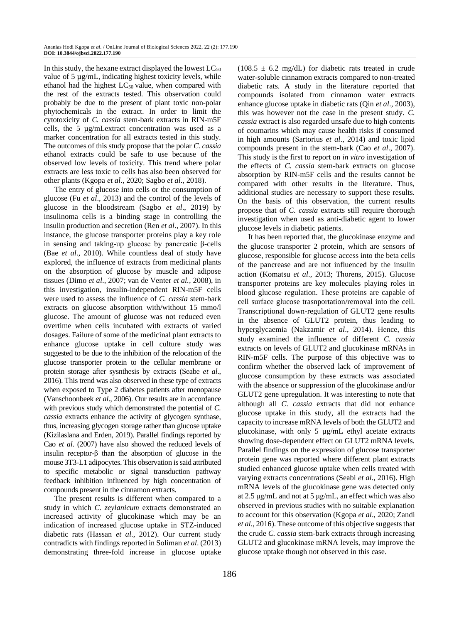In this study, the hexane extract displayed the lowest  $LC_{50}$ value of 5 µg/mL, indicating highest toxicity levels, while ethanol had the highest  $LC_{50}$  value, when compared with the rest of the extracts tested. This observation could probably be due to the present of plant toxic non-polar phytochemicals in the extract. In order to limit the cytotoxicity of *C. cassia* stem-bark extracts in RIN-m5F cells, the 5 µg/mLextract concentration was used as a marker concentration for all extracts tested in this study. The outcomes of this study propose that the polar *C. cassia* ethanol extracts could be safe to use because of the observed low levels of toxicity. This trend where polar extracts are less toxic to cells has also been observed for other plants (Kgopa *et al*., 2020; Sagbo *et al*., 2018).

The entry of glucose into cells or the consumption of glucose (Fu *et al*., 2013) and the control of the levels of glucose in the bloodstream (Sagbo *et al*., 2019) by insulinoma cells is a binding stage in controlling the insulin production and secretion (Ren *et al*., 2007). In this instance, the glucose transporter proteins play a key role in sensing and taking-up glucose by pancreatic β-cells (Bae *et al*., 2010). While countless deal of study have explored, the influence of extracts from medicinal plants on the absorption of glucose by muscle and adipose tissues (Dimo *et al*., 2007; van de Venter *et al.,* 2008), in this investigation, insulin-independent RIN-m5F cells were used to assess the influence of *C. cassia* stem-bark extracts on glucose absorption with/without 15 mmo/l glucose. The amount of glucose was not reduced even overtime when cells incubated with extracts of varied dosages. Failure of some of the medicinal plant extracts to enhance glucose uptake in cell culture study was suggested to be due to the inhibition of the relocation of the glucose transporter protein to the cellular membrane or protein storage after sysnthesis by extracts (Seabe *et al*., 2016). This trend was also observed in these type of extracts when exposed to Type 2 diabetes patients after menopause (Vanschoonbeek *et al*., 2006). Our results are in accordance with previous study which demonstrated the potential of *C. cassia* extracts enhance the activity of glycogen synthase, thus, increasing glycogen storage rather than glucose uptake (Kizilaslana and Erden, 2019). Parallel findings reported by Cao *et al*. (2007) have also showed the reduced levels of insulin receptor-β than the absorption of glucose in the mouse 3T3-L1 adipocytes. This observation is said attributed to specific metabolic or signal transduction pathway feedback inhibition influenced by high concentration of compounds present in the cinnamon extracts.

The present results is different when compared to a study in which *C. zeylanicum* extracts demonstrated an increased activity of glucokinase which may be an indication of increased glucose uptake in STZ-induced diabetic rats (Hassan *et al*., 2012). Our current study contradicts with findings reported in Soliman *et al*. (2013) demonstrating three-fold increase in glucose uptake  $(108.5 \pm 6.2 \text{ mg/dL})$  for diabetic rats treated in crude water-soluble cinnamon extracts compared to non-treated diabetic rats. A study in the literature reported that compounds isolated from cinnamon water extracts enhance glucose uptake in diabetic rats (Qin *et al*., 2003), this was however not the case in the present study. *C. cassia* extract is also regarded unsafe due to high contents of coumarins which may cause health risks if consumed in high amounts (Sartorius *et al*., 2014) and toxic lipid compounds present in the stem-bark (Cao *et al*., 2007). This study is the first to report on *in vitro* investigation of the effects of *C. cassia* stem-bark extracts on glucose absorption by RIN-m5F cells and the results cannot be compared with other results in the literature. Thus, additional studies are necessary to support these results. On the basis of this observation, the current results propose that of *C. cassia* extracts still require thorough investigation when used as anti-diabetic agent to lower glucose levels in diabetic patients.

It has been reported that, the glucokinase enzyme and the glucose transporter 2 protein, which are sensors of glucose, responsible for glucose access into the beta cells of the pancrease and are not influenced by the insulin action (Komatsu *et al*., 2013; Thorens, 2015). Glucose transporter proteins are key molecules playing roles in blood glucose regulation. These proteins are capable of cell surface glucose trasnportation/removal into the cell. Transcriptional down-regulation of GLUT2 gene results in the absence of GLUT2 protein, thus leading to hyperglycaemia (Nakzamir *et al*., 2014). Hence, this study examined the influence of different *C. cassia* extracts on levels of GLUT2 and glucokinase mRNAs in RIN-m5F cells. The purpose of this objective was to confirm whether the observed lack of improvement of glucose consumption by these extracts was associated with the absence or suppression of the glucokinase and/or GLUT2 gene upregulation. It was interesting to note that although all *C. cassia* extracts that did not enhance glucose uptake in this study, all the extracts had the capacity to increase mRNA levels of both the GLUT2 and glucokinase, with only 5 µg/mL ethyl acetate extracts showing dose-dependent effect on GLUT2 mRNA levels. Parallel findings on the expression of glucose transporter protein gene was reported where different plant extracts studied enhanced glucose uptake when cells treated with varying extracts concentrations (Seabi *et al*., 2016). High mRNA levels of the glucokinase gene was detected only at 2.5 μg/mL and not at 5 μg/mL, an effect which was also observed in previous studies with no suitable explanation to account for this observation (Kgopa *et al*., 2020; Zandi *et al*., 2016). These outcome of this objective suggests that the crude *C. cassia* stem-bark extracts through increasing GLUT2 and glucokinase mRNA levels, may improve the glucose uptake though not observed in this case.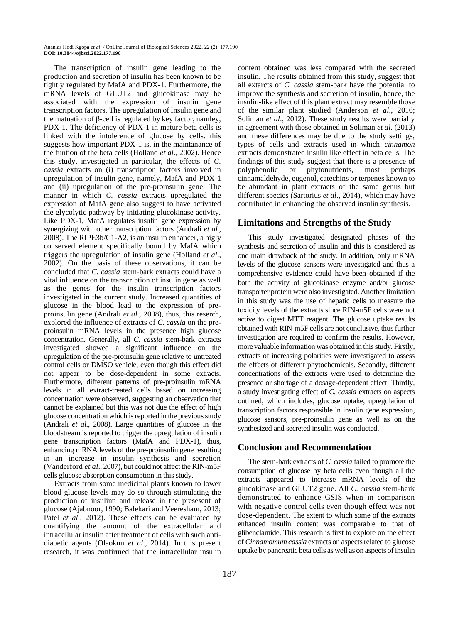The transcription of insulin gene leading to the production and secretion of insulin has been known to be tightly regulated by MafA and PDX-1. Furthermore, the mRNA levels of GLUT2 and glucokinase may be associated with the expression of insulin gene transcription factors. The upregulation of Insulin gene and the matuation of β-cell is regulated by key factor, namley, PDX-1. The deficiency of PDX-1 in mature beta cells is linked with the intolerence of glucose by cells. this suggests how important PDX-1 is, in the maintanance of the funtion of the beta cells (Holland *et al*., 2002). Hence this study, investigated in particular, the effects of *C. cassia* extracts on (i) transcription factors involved in upregulation of insulin gene, namely, MafA and PDX-1 and (ii) upregulation of the pre-proinsulin gene. The manner in which *C. cassia* extracts upregulated the expression of MafA gene also suggest to have activated the glycolytic pathway by initiating glucokinase activity. Like PDX-1, MafA regulates insulin gene expression by synergizing with other transcription factors (Andrali *et al*., 2008). The RIPE3b/C1-A2, is an insulin enhancer, a higly conserved element specifically bound by MafA which triggers the upregulation of insulin gene (Holland *et al*., 2002). On the basis of these observations, it can be concluded that *C. cassia* stem-bark extracts could have a vital influence on the transcription of insulin gene as well as the genes for the insulin transcription factors investigated in the current study. Increased quantities of glucose in the blood lead to the expression of preproinsulin gene (Andrali *et al*., 2008), thus, this reserch, explored the influence of extracts of *C. cassia* on the preproinsulin mRNA levels in the presence high glucose concentration. Generally, all *C. cassia* stem-bark extracts investigated showed a significant influence on the upregulation of the pre-proinsulin gene relative to untreated control cells or DMSO vehicle, even though this effect did not appear to be dose-dependent in some extracts. Furthermore, different patterns of pre-proinsulin mRNA levels in all extract-treated cells based on increasing concentration were observed, suggesting an observation that cannot be explained but this was not due the effect of high glucose concentration which is reported in the previous study (Andrali *et al*., 2008). Large quantities of glucose in the bloodstream is reported to trigger the upregulation of insulin gene transcription factors (MafA and PDX-1), thus, enhancing mRNA levels of the pre-proinsulin gene resulting in an increase in insulin synthesis and secretion (Vanderford *et al*., 2007), but could not affect the RIN-m5F cells glucose absorption consumption in this study.

Extracts from some medicinal plants known to lower blood glucose levels may do so through stimulating the production of insulinn and release in the presesent of glucose (Ajabnoor, 1990; Balekari and Veeresham, 2013; Patel *et al.*, 2012). These effects can be evaluated by quantifying the amount of the extracellular and intracellular insulin after treatment of cells with such antidiabetic agents (Olaokun *et al*., 2014). In this present research, it was confirmed that the intracellular insulin

content obtained was less compared with the secreted insulin. The results obtained from this study, suggest that all extarcts of *C. cassia* stem-bark have the potential to improve the synthesis and secretion of insulin, hence, the insulin-like effect of this plant extract may resemble those of the similar plant studied (Anderson *et al*., 2016; Soliman *et al*., 2012). These study results were partially in agreement with those obtained in Soliman *et al*. (2013) and these differences may be due to the study settings, types of cells and extracts used in which *cinnamon* extracts demonstrated insulin like effect in beta cells. The findings of this study suggest that there is a presence of polyphenolic or phytonutrients, most perhaps cinnamaldehyde, eugenol, catechins or terpenes known to be abundant in plant extracts of the same genus but different species (Sartorius *et al*., 2014), which may have contributed in enhancing the observed insulin synthesis.

# **Limitations and Strengths of the Study**

This study investigated designated phases of the synthesis and secretion of insulin and this is considered as one main drawback of the study. In addition, only mRNA levels of the glucose sensors were investigated and thus a comprehensive evidence could have been obtained if the both the activity of glucokinase enzyme and/or glucose transporter protein were also investigated. Another limitation in this study was the use of hepatic cells to measure the toxicity levels of the extracts since RIN-m5F cells were not active to digest MTT reagent. The glucose uptake results obtained with RIN-m5F cells are not conclusive, thus further investigation are required to confirm the results. However, more valuable information was obtained in this study. Firstly, extracts of increasing polarities were investigated to assess the effects of different phytochemicals. Secondly, different concentrations of the extracts were used to determine the presence or shortage of a dosage-dependent effect. Thirdly, a study investigating effect of *C. cassia* extracts on aspects outlined, which includes, glucose uptake, upregulation of transcription factors responsible in insulin gene expression, glucose sensors, pre-proinsulin gene as well as on the synthesized and secreted insulin was conducted.

# **Conclusion and Recommendation**

The stem-bark extracts of *C. cassia* failed to promote the consumption of glucose by beta cells even though all the extracts appeared to increase mRNA levels of the glucokinase and GLUT2 gene. All *C. cassia* stem-bark demonstrated to enhance GSIS when in comparison with negative control cells even though effect was not dose-dependent. The extent to which some of the extracts enhanced insulin content was comparable to that of glibenclamide. This research is first to explore on the effect of *Cinnamomum cassia* extracts on aspects related to glucose uptake by pancreatic beta cells as well as on aspects of insulin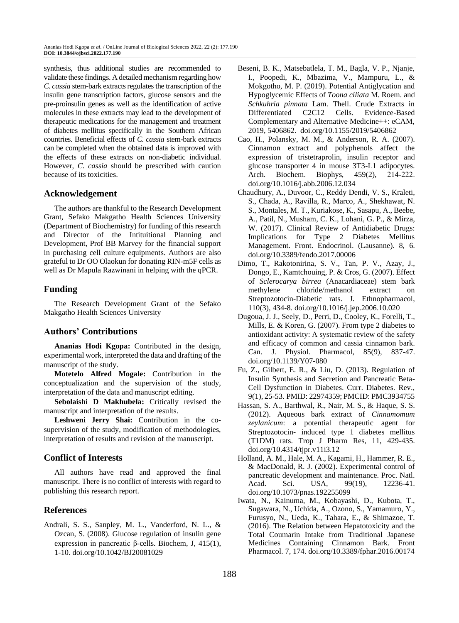synthesis, thus additional studies are recommended to validate these findings. A detailed mechanism regarding how *C. cassia* stem-bark extracts regulates the transcription of the insulin gene transcription factors, glucose sensors and the pre-proinsulin genes as well as the identification of active molecules in these extracts may lead to the development of therapeutic medications for the management and treatment of diabetes mellitus specifically in the Southern African countries. Beneficial effects of *C. cassia* stem-bark extracts can be completed when the obtained data is improved with the effects of these extracts on non-diabetic individual. However, *C. cassia* should be prescribed with caution because of its toxicities.

## **Acknowledgement**

The authors are thankful to the Research Development Grant, Sefako Makgatho Health Sciences University (Department of Biochemistry) for funding of this research and Director of the Intituitional Planning and Development, Prof BB Marvey for the financial support in purchasing cell culture equipments. Authors are also grateful to Dr OO Olaokun for donating RIN-m5F cells as well as Dr Mapula Razwinani in helping with the qPCR.

## **Funding**

The Research Development Grant of the Sefako Makgatho Health Sciences University

# **Authors' Contributions**

**Ananias Hodi Kgopa:** Contributed in the design, experimental work, interpreted the data and drafting of the manuscript of the study.

**Motetelo Alfred Mogale:** Contribution in the conceptualization and the supervision of the study, interpretation of the data and manuscript editing.

**Sebolaishi D Makhubela:** Critically revised the manuscript and interpretation of the results.

**Leshweni Jerry Shai:** Contribution in the cosupervision of the study, modification of methodologies, interpretation of results and revision of the manuscript.

# **Conflict of Interests**

All authors have read and approved the final manuscript. There is no conflict of interests with regard to publishing this research report.

## **References**

Andrali, S. S., Sanpley, M. L., Vanderford, N. L., & Ozcan, S. (2008). Glucose regulation of insulin gene expression in pancreatic β-cells. Biochem, J, 415(1), 1-10. doi.org/10.1042/BJ20081029

- Beseni, B. K., Matsebatlela, T. M., Bagla, V. P., Njanje, I., Poopedi, K., Mbazima, V., Mampuru, L., & Mokgotho, M. P. (2019). Potential Antiglycation and Hypoglycemic Effects of *Toona ciliata* M. Roem. and *Schkuhria pinnata* Lam. Thell. Crude Extracts in Differentiated C2C12 Cells. Evidence-Based Complementary and Alternative Medicine++: eCAM, 2019, 5406862. [doi.org/10.1155/2019/5406862](https://doi.org/10.1155/2019/5406862)
- Cao, H., Polansky, M. M., & Anderson, R. A. (2007). Cinnamon extract and polyphenols affect the expression of tristetraprolin, insulin receptor and glucose transporter 4 in mouse 3T3-L1 adipocytes. Arch. Biochem. Biophys, 459(2), 214‐222. doi.org/10.1016/j.abb.2006.12.034
- Chaudhury, A., Duvoor, C., Reddy Dendi, V. S., Kraleti, S., Chada, A., Ravilla, R., Marco, A., Shekhawat, N. S., Montales, M. T., Kuriakose, K., Sasapu, A., Beebe, A., Patil, N., Musham, C. K., Lohani, G. P., & Mirza, W. (2017). Clinical Review of Antidiabetic Drugs: Implications for Type 2 Diabetes Mellitus Management. Front. Endocrinol. (Lausanne). 8, 6. doi.org/10.3389/fendo.2017.00006
- Dimo, T., Rakotonirina, S. V., Tan, P. V., Azay, J., Dongo, E., Kamtchouing, P. & Cros, G. (2007). Effect of *Sclerocarya birrea* (Anacardiaceae) stem bark methylene chloride/methanol extract on Streptozotocin-Diabetic rats. J. Ethnopharmacol, 110(3), 434-8. doi.org/10.1016/j.jep.2006.10.020
- Dugoua, J. J., Seely, D., Perri, D., Cooley, K., Forelli, T., Mills, E. & Koren, G. (2007). From type 2 diabetes to antioxidant activity: A systematic review of the safety and efficacy of common and cassia cinnamon bark. Can. J. Physiol. Pharmacol, 85(9), 837-47. doi.org/10.1139/Y07-080
- Fu, Z., Gilbert, E. R., & Liu, D. (2013). Regulation of Insulin Synthesis and Secretion and Pancreatic Beta-Cell Dysfunction in Diabetes. Curr. Diabetes. Rev., 9(1), 25-53. PMID: 22974359; PMCID: PMC3934755
- Hassan, S. A., Barthwal, R., Nair, M. S., & Haque, S. S. (2012). Aqueous bark extract of *Cinnamomum zeylanicum*: a potential therapeutic agent for Streptozotocin- induced type 1 diabetes mellitus (T1DM) rats. Trop J Pharm Res, 11, 429-435. doi.org/10.4314/tjpr.v11i3.12
- Holland, A. M., Hale, M. A., Kagami, H., Hammer, R. E., & MacDonald, R. J. (2002). Experimental control of pancreatic development and maintenance. Proc. Natl. Acad. Sci. USA, 99(19), 12236-41. doi.org/10.1073/pnas.192255099
- Iwata, N., Kainuma, M., Kobayashi, D., Kubota, T., Sugawara, N., Uchida, A., Ozono, S., Yamamuro, Y., Furusyo, N., Ueda, K., Tahara, E., & Shimazoe, T. (2016). The Relation between Hepatotoxicity and the Total Coumarin Intake from Traditional Japanese Medicines Containing Cinnamon Bark. Front Pharmacol. 7, 174. doi.org/10.3389/fphar.2016.00174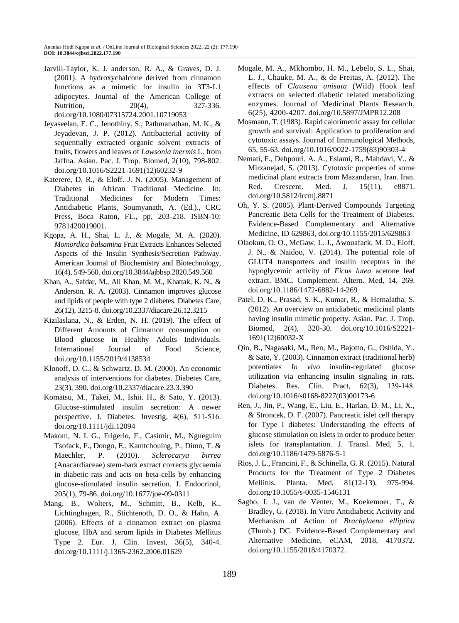- Jarvill-Taylor, K. J. anderson, R. A., & Graves, D. J. (2001). A hydroxychalcone derived from cinnamon functions as a mimetic for insulin in 3T3-L1 adipocytes. Journal of the American College of Nutrition, 20(4), 327-336. doi.org/10.1080/07315724.2001.10719053
- Jeyaseelan, E. C., Jenothiny, S., Pathmanathan, M. K., & Jeyadevan, J. P. (2012). Antibacterial activity of sequentially extracted organic solvent extracts of fruits, flowers and leaves of *Lawsonia inermis* L. from Jaffna. Asian. Pac. J. Trop. Biomed, 2(10), 798-802. doi.org/10.1016/S2221-1691(12)60232-9
- Katerere, D. R., & Eloff. J. N. (2005). Management of Diabetes in African Traditional Medicine. In: Traditional Medicines for Modern Times: Antidiabetic Plants, Soumyanath, A. (Ed.)., CRC Press, Boca Raton, FL., pp, 203-218. ISBN-10: 9781420019001.
- Kgopa, A. H., Shai, L. J., & Mogale, M. A. (2020). *Momordica balsamina* Fruit Extracts Enhances Selected Aspects of the Insulin Synthesis/Secretion Pathway. American Journal of Biochemistry and Biotechnology, 16(4), 549-560. doi.org/10.3844/ajbbsp.2020.549.560
- Khan, A., Safdar, M., Ali Khan, M. M., Khattak, K. N., & Anderson, R. A. (2003). Cinnamon improves glucose and lipids of people with type 2 diabetes. Diabetes Care, 26(12), 3215-8. doi.org/10.2337/diacare.26.12.3215
- Kizilaslana, N., & Erden, N. H. (2019). The effect of Different Amounts of Cinnamon consumption on Blood glucose in Healthy Adults Individuals. International Journal of Food Science, doi.org/10.1155/2019/4138534
- Klonoff, D. C., & Schwartz, D. M. (2000). An economic analysis of interventions for diabetes. Diabetes Care, 23(3), 390. doi.org/10.2337/diacare.23.3.390
- Komatsu, M., Takei, M., Ishii. H., & Sato, Y. (2013). Glucose-stimulated insulin secretion: A newer perspective. J. Diabetes. Investig, 4(6), 511‐516. doi.org/10.1111/jdi.12094
- Makom, N. I. G., Frigerio, F., Casimir, M., Ngueguim Tsofack, F., Dongo, E., Kamtchouing, P., Dimo, T. & Maechler, P. (2010). *Sclerocarya birrea* (Anacardiaceae) stem-bark extract corrects glycaemia in diabetic rats and acts on beta-cells by enhancing glucose-stimulated insulin secretion. J. Endocrinol, 205(1), 79-86. doi.org/10.1677/joe-09-0311
- Mang, B., Wolters, M., Schmitt, B., Kelb, K., Lichtinghagen, R., Stichtenoth, D. O., & Hahn, A. (2006). Effects of a cinnamon extract on plasma glucose, HbA and serum lipids in Diabetes Mellitus Type 2. Eur. J. Clin. Invest, 36(5), 340-4. doi.org/10.1111/j.1365-2362.2006.01629
- Mogale, M. A., Mkhombo, H. M., Lebelo, S. L., Shai, L. J., Chauke, M. A., & de Freitas, A. (2012). The effects of *Clausena anisata* (Wild) Hook leaf extracts on selected diabetic related metabolizing enzymes. Journal of Medicinal Plants Research, 6(25), 4200-4207. doi.org/10.5897/JMPR12.208
- Mosmann, T. (1983). Rapid calorimetric assay for cellular growth and survival: Application to proliferation and cytotoxic assays. Journal of Immunological Methods, 65, 55-63. doi.org/10.1016/0022-1759(83)90303-4
- Nemati, F., Dehpouri, A. A., Eslami, B., Mahdavi, V., & Mirzanejad, S. (2013). Cytotoxic properties of some medicinal plant extracts from Mazandaran, Iran. Iran. Red. Crescent. Med. J, 15(11), e8871. doi.org/10.5812/ircmj.8871
- Oh, Y. S. (2005). Plant-Derived Compounds Targeting Pancreatic Beta Cells for the Treatment of Diabetes. Evidence-Based Complementary and Alternative Medicine, ID 629863[, doi.org/10.1155/2015/629863](http://dx.doi.org/10.1155/2015/629863)
- Olaokun, O. O., McGaw, L. J., Awouafack, M. D., Eloff, J. N., & Naidoo, V. (2014). The potential role of GLUT4 transporters and insulin receptors in the hypoglycemic activity of *Ficus lutea* acetone leaf extract. BMC. Complement. Altern. Med, 14, 269. doi.org/10.1186/1472-6882-14-269
- Patel, D. K., Prasad, S. K., Kumar, R., & Hemalatha, S. (2012). An overview on antidiabetic medicinal plants having insulin mimetic property. Asian. Pac. J. Trop. Biomed, 2(4), 320-30. doi.org/10.1016/S2221- 1691(12)60032-X
- Qin, B., Nagasaki, M., Ren, M., Bajotto, G., Oshida, Y., & Sato, Y. (2003). Cinnamon extract (traditional herb) potentiates *In vivo* insulin-regulated glucose utilization via enhancing insulin signaling in rats. Diabetes. Res. Clin. Pract, 62(3), 139‐148. doi.org/10.1016/s0168-8227(03)00173-6
- Ren, J., Jin, P., Wang, E., Liu, E., Harlan, D. M., Li, X., & Stroncek, D. F. (2007). Pancreatic islet cell therapy for Type I diabetes: Understanding the effects of glucose stimulation on islets in order to produce better islets for transplantation. J. Transl. Med, 5, 1. doi.org/10.1186/1479-5876-5-1
- Rios, J. L., Francini, F., & Schinella, G. R. (2015). Natural Products for the Treatment of Type 2 Diabetes Mellitus. Planta. Med, 81(12-13), 975-994. doi.org/10.1055/s-0035-1546131
- Sagbo, I. J., van de Venter, M., Koekemoer, T., & Bradley, G. (2018). In Vitro Antidiabetic Activity and Mechanism of Action of *Brachylaena elliptica* (Thunb.) DC. Evidence-Based Complementary and Alternative Medicine, eCAM, 2018, 4170372. [doi.org/10.1155/2018/4170372.](https://doi.org/10.1155/2018/4170372)